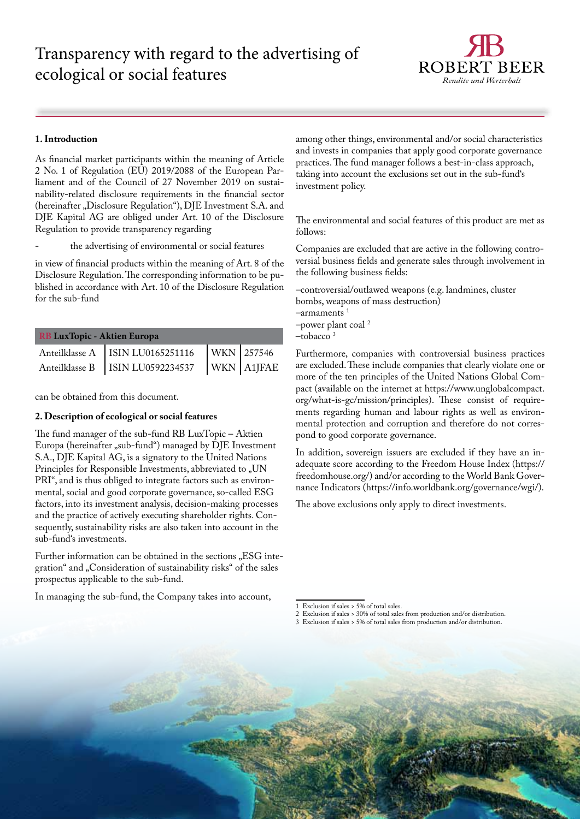# Transparency with regard to the advertising of ecological or social features



## **1. Introduction**

As financial market participants within the meaning of Article 2 No. 1 of Regulation (EU) 2019/2088 of the European Parliament and of the Council of 27 November 2019 on sustainability-related disclosure requirements in the financial sector (hereinafter "Disclosure Regulation"), DJE Investment S.A. and DJE Kapital AG are obliged under Art. 10 of the Disclosure Regulation to provide transparency regarding

the advertising of environmental or social features

in view of financial products within the meaning of Art. 8 of the Disclosure Regulation. The corresponding information to be published in accordance with Art. 10 of the Disclosure Regulation for the sub-fund

| RB LuxTopic - Aktien Europa |                                                   |  |  |
|-----------------------------|---------------------------------------------------|--|--|
|                             | Anteilklasse A   ISIN LU0165251116   WKN 257546   |  |  |
|                             | Anteilklasse B   ISIN LU0592234537   WKN   A1JFAE |  |  |

can be obtained from this document.

## **2. Description of ecological or social features**

The fund manager of the sub-fund RB LuxTopic – Aktien Europa (hereinafter "sub-fund") managed by DJE Investment S.A., DJE Kapital AG, is a signatory to the United Nations Principles for Responsible Investments, abbreviated to "UN PRI", and is thus obliged to integrate factors such as environmental, social and good corporate governance, so-called ESG factors, into its investment analysis, decision-making processes and the practice of actively executing shareholder rights. Consequently, sustainability risks are also taken into account in the sub-fund's investments.

Further information can be obtained in the sections "ESG integration" and "Consideration of sustainability risks" of the sales prospectus applicable to the sub-fund.

In managing the sub-fund, the Company takes into account,

among other things, environmental and/or social characteristics and invests in companies that apply good corporate governance practices. The fund manager follows a best-in-class approach, taking into account the exclusions set out in the sub-fund's investment policy.

The environmental and social features of this product are met as follows:

Companies are excluded that are active in the following controversial business fields and generate sales through involvement in the following business fields:

–controversial/outlawed weapons (e.g. landmines, cluster bombs, weapons of mass destruction)  $-$ armaments<sup>1</sup>

–power plant coal 2

 $-$ tobacco<sup>3</sup>

Furthermore, companies with controversial business practices are excluded. These include companies that clearly violate one or more of the ten principles of the United Nations Global Compact (available on the internet at https://www.unglobalcompact. org/what-is-gc/mission/principles). These consist of requirements regarding human and labour rights as well as environmental protection and corruption and therefore do not correspond to good corporate governance.

In addition, sovereign issuers are excluded if they have an inadequate score according to the Freedom House Index (https:// freedomhouse.org/) and/or according to the World Bank Governance Indicators (https://info.worldbank.org/governance/wgi/).

The above exclusions only apply to direct investments.

- 2 Exclusion if sales > 30% of total sales from production and/or distribution.
- 3 Exclusion if sales > 5% of total sales from production and/or distribution.

<sup>1</sup> Exclusion if sales > 5% of total sales.